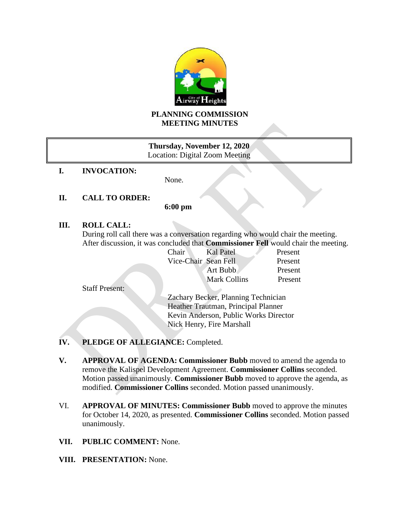

# **PLANNING COMMISSION MEETING MINUTES**

# **Thursday, November 12, 2020** Location: Digital Zoom Meeting

**I. INVOCATION:**

None.

# **II. CALL TO ORDER:**

**6:00 pm**

## **III. ROLL CALL:**

During roll call there was a conversation regarding who would chair the meeting. After discussion, it was concluded that **Commissioner Fell** would chair the meeting.

| Chair                | Kal Patel           | Present |
|----------------------|---------------------|---------|
| Vice-Chair Sean Fell |                     | Present |
|                      | Art Bubb            | Present |
|                      | <b>Mark Collins</b> | Present |
|                      |                     |         |

Staff Present:

Zachary Becker, Planning Technician Heather Trautman, Principal Planner Kevin Anderson, Public Works Director Nick Henry, Fire Marshall

- **IV. PLEDGE OF ALLEGIANCE:** Completed.
- **V. APPROVAL OF AGENDA: Commissioner Bubb** moved to amend the agenda to remove the Kalispel Development Agreement. **Commissioner Collins** seconded. Motion passed unanimously. **Commissioner Bubb** moved to approve the agenda, as modified. **Commissioner Collins** seconded. Motion passed unanimously.
- VI. **APPROVAL OF MINUTES: Commissioner Bubb** moved to approve the minutes for October 14, 2020, as presented. **Commissioner Collins** seconded. Motion passed unanimously.
- **VII. PUBLIC COMMENT:** None.
- **VIII. PRESENTATION:** None.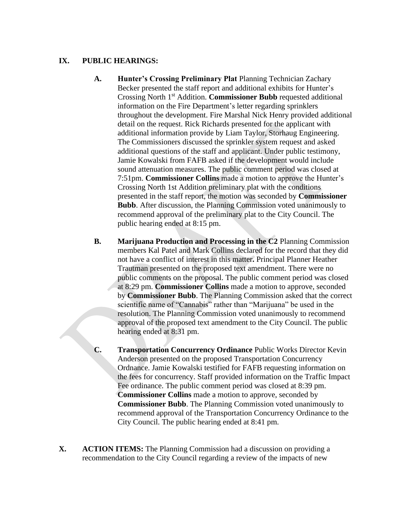### **IX. PUBLIC HEARINGS:**

- **A. Hunter's Crossing Preliminary Plat** Planning Technician Zachary Becker presented the staff report and additional exhibits for Hunter's Crossing North 1st Addition. **Commissioner Bubb** requested additional information on the Fire Department's letter regarding sprinklers throughout the development. Fire Marshal Nick Henry provided additional detail on the request. Rick Richards presented for the applicant with additional information provide by Liam Taylor, Storhaug Engineering. The Commissioners discussed the sprinkler system request and asked additional questions of the staff and applicant. Under public testimony, Jamie Kowalski from FAFB asked if the development would include sound attenuation measures. The public comment period was closed at 7:51pm. **Commissioner Collins** made a motion to approve the Hunter's Crossing North 1st Addition preliminary plat with the conditions presented in the staff report, the motion was seconded by **Commissioner Bubb**. After discussion, the Planning Commission voted unanimously to recommend approval of the preliminary plat to the City Council. The public hearing ended at 8:15 pm.
- **B. Marijuana Production and Processing in the C2** Planning Commission members Kal Patel and Mark Collins declared for the record that they did not have a conflict of interest in this matter**.** Principal Planner Heather Trautman presented on the proposed text amendment. There were no public comments on the proposal. The public comment period was closed at 8:29 pm. **Commissioner Collins** made a motion to approve, seconded by **Commissioner Bubb**. The Planning Commission asked that the correct scientific name of "Cannabis" rather than "Marijuana" be used in the resolution. The Planning Commission voted unanimously to recommend approval of the proposed text amendment to the City Council. The public hearing ended at 8:31 pm.
- **C. Transportation Concurrency Ordinance** Public Works Director Kevin Anderson presented on the proposed Transportation Concurrency Ordnance. Jamie Kowalski testified for FAFB requesting information on the fees for concurrency. Staff provided information on the Traffic Impact Fee ordinance. The public comment period was closed at 8:39 pm. **Commissioner Collins** made a motion to approve, seconded by **Commissioner Bubb**. The Planning Commission voted unanimously to recommend approval of the Transportation Concurrency Ordinance to the City Council. The public hearing ended at 8:41 pm.
- **X. ACTION ITEMS:** The Planning Commission had a discussion on providing a recommendation to the City Council regarding a review of the impacts of new